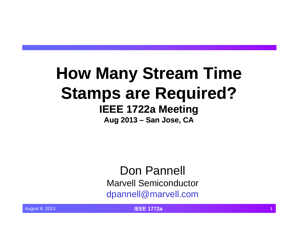# **How Many Stream Time Stamps are Required? IEEE 1722a Meeting**

**Aug 2013 – San Jose, CA Jose,** 

Don Pannell Marvell Semiconductordpannell@marvell.com

August 6, 2013 **IEEE 1772a <sup>1</sup>**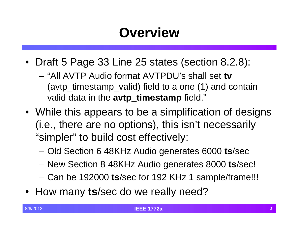## **Overview**

- Draft 5 Page 33 Line 25 states (section 8.2.8):
	- "All AVTP Audio format AVTPDU's shall set **tv** (avtp\_timestamp\_valid) field to a one (1) and contain valid data in the **avtp\_timestamp** field."
- While this appears to be a simplification of designs (*i.e.*, there are no options), this isn't necessarily "simpler" to build cost effectively:
	- –Old Section 6 48KHz Audio generates 6000 **ts**/sec
	- –New Section 8 48KHz Audio generates 8000 **ts**/sec!
	- –Can be 192000 **ts**/sec for 192 KHz 1 sample/frame!!!
- How many ts/sec do we really need?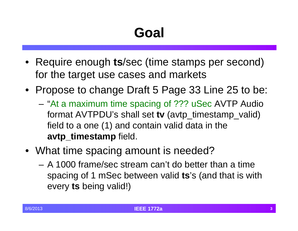# **Goal**

- Require enough **ts**/sec (time stamps per second) for the target use cases and markets
- Propose to change Draft 5 Page 33 Line 25 to be:
	- "At a maximum time spacing of ??? uSec AVTP Audio format AVTPDU's shall set **tv** (avtp\_timestamp\_valid) field to a one  $(1)$  and contain valid data in the **avtp\_timestamp** field.
- What time spacing amount is needed?
	- A 1000 frame/sec stream can't do better than a time spacing of 1 mSec between valid **ts**'s (and that is with every **ts** being valid!)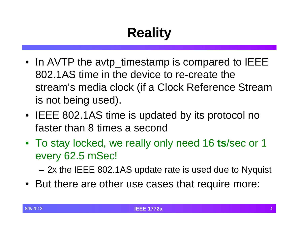# **Reality**

- In AVTP the avtp\_timestamp is compared to IEEE 802.1AS time in the device to re-create the stream's media clock (if a Clock Reference Stream is not being used).
- IEEE 802.1AS time is updated by its protocol no faster than 8 times a second
- To stay locked, we really only need 16 **ts**/sec or 1 every 62.5 mSec!

2x the IEEE 802.1AS update rate is used due to Nyquist

• But there are other use cases that require more: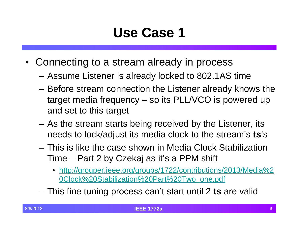### **Use Case 1**

- Connecting to a stream already in process
	- Assume Listener is already locked to 802.1AS time
	- Before stream connection the Listener already knows the target media frequency  $-$  so its PLL/VCO is powered up and set to this target
	- As the stream starts being received by the Listener, its needs to lock/adjust its media clock to the stream's **ts**'s
	- This is like the case shown in Media Clock Stabilization Time – Part 2 by Czekaj as it's a PPM shift
		- http://grouper.ieee.org/groups/1722/contributions/2013/Media%2 0Clock%20Stabilization%20Part%20Two\_one.pdf
	- –– This fine tuning process can't start until 2 **ts** are valid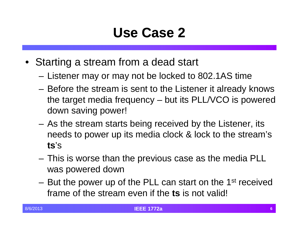### **Use Case 2**

- Starting a stream from a dead start
	- Listener may or may not be locked to 802.1AS time
	- Before the stream is sent to the Listener it already knows the target media frequency – but its PLL/VCO is powered down saving power!
	- As the stream starts being received by the Listener, its needs to power up its media clock & lock to the stream's **ts**'s
	- $-$  This is worse than the previous case as the media PLL  $\,$ was powered down
	- –But the power up of the PLL can start on the 1<sup>st</sup> received frame of the stream even if the **ts** is not valid!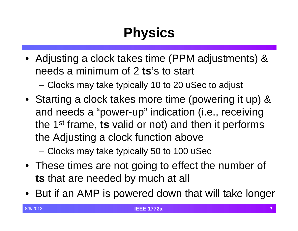# **Physics**

• Adjusting a clock takes time (PPM adjustments) & needs a minimum of 2 **ts**'s to start

–Clocks may take typically 10 to 20 uSec to adjust

• Starting <sup>a</sup> clock takes more time (powering it up) & and needs a "power-up" indication (i.e., receiving the 1<sup>st</sup> frame, **ts** valid or not) and then it performs the Adjusting a clock function above

–Clocks may take typically 50 to 100 uSec

- These times are not going to effect the number of **ts** that are needed by much at all
- But if an AMP is powered down that will take longer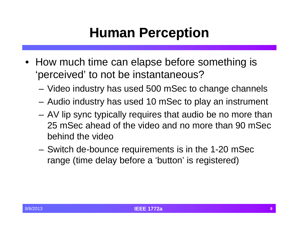#### **Human Perception**

- How much time can elapse before something is 'perceived' to not be instantaneous?
	- Video industry has used 500 mSec to change channels
	- $-$  Audio industry has used 10 mSec to play an instrument
	- AV lip sync typically requires that audio be no more than 25 mSec ahead of the video and no more than 90 mSecbehind the video
	- Switch de-bounce requirements is in the 1-20 mSec range (time delay before <sup>a</sup> <sup>a</sup>'button' is registered)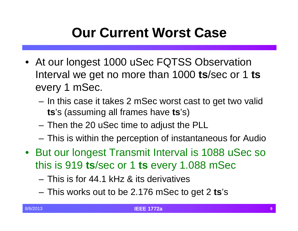## **Our Current Worst Case**

- At our longest 1000 uSec FQTSS Observation **I**nterval we get no more than 1000  $\textbf{ts}/\textbf{sec}$  or 1  $\textbf{ts}$ every 1 mSec.
	- $-$  In this case it takes 2 mSec worst cast to get two valid **ts**'s (assuming all frames have **ts**'s)
	- $-$  Then the 20 uSec time to adjust the PLL  $\,$
	- –This is within the perception of instantaneous for Audio
- But our longest Transmit Interval is 1088 uSec so this is 919 **ts**/sec or 1 **ts** every 1.088 mSec
	- This is for 44.1 kHz & its derivatives
	- This works out to be 2.176 mSec to get 2 **ts**'s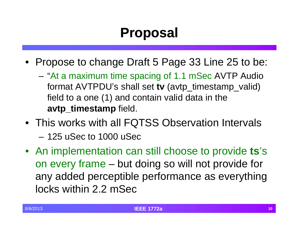## **Proposal**

- Propose to change Draft 5 Page 33 Line 25 to be:
	- "At a maximum time spacing of 1.1 mSec AVTP Audio format AVTPDU's shall set **tv** (avtp\_timestamp\_valid) field to a one  $(1)$  and contain valid data in the **avtp\_timestamp** field.
- This works with all FQTSS Observation Intervals
	- 125 uSec to 1000 uSec
- An implementation can still choose to provide **ts**'s on every frame – but doing so will not provide for any added perceptible performance as everything locks within 2.2 mSec